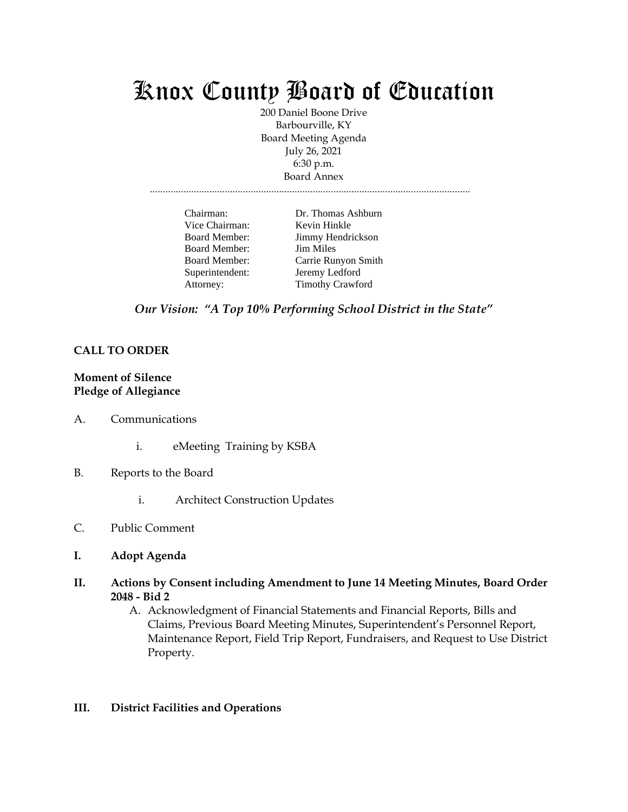# Knox County Board of Education

200 Daniel Boone Drive Barbourville, KY Board Meeting Agenda July 26, 2021 6:30 p.m. Board Annex

............................................................................................................................

| Chairman:            | Dr. Thomas Ashburn      |
|----------------------|-------------------------|
| Vice Chairman:       | Kevin Hinkle            |
| Board Member:        | Jimmy Hendrickson       |
| <b>Board Member:</b> | <b>Jim Miles</b>        |
| <b>Board Member:</b> | Carrie Runyon Smith     |
| Superintendent:      | Jeremy Ledford          |
| Attorney:            | <b>Timothy Crawford</b> |

*Our Vision: "A Top 10% Performing School District in the State"*

## **CALL TO ORDER**

#### **Moment of Silence Pledge of Allegiance**

- A. Communications
	- i. eMeeting Training by KSBA
- B. Reports to the Board
	- i. Architect Construction Updates
- C. Public Comment
- **I. Adopt Agenda**
- **II. Actions by Consent including Amendment to June 14 Meeting Minutes, Board Order 2048 - Bid 2**
	- A. Acknowledgment of Financial Statements and Financial Reports, Bills and Claims, Previous Board Meeting Minutes, Superintendent's Personnel Report, Maintenance Report, Field Trip Report, Fundraisers, and Request to Use District Property.

#### **III. District Facilities and Operations**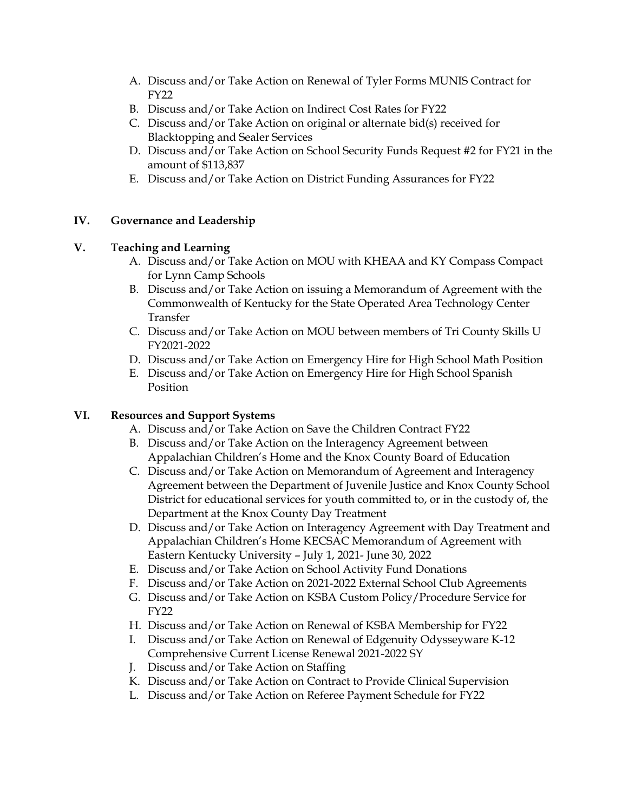- A. Discuss and/or Take Action on Renewal of Tyler Forms MUNIS Contract for FY<sub>22</sub>
- B. Discuss and/or Take Action on Indirect Cost Rates for FY22
- C. Discuss and/or Take Action on original or alternate bid(s) received for Blacktopping and Sealer Services
- D. Discuss and/or Take Action on School Security Funds Request #2 for FY21 in the amount of \$113,837
- E. Discuss and/or Take Action on District Funding Assurances for FY22

## **IV. Governance and Leadership**

#### **V. Teaching and Learning**

- A. Discuss and/or Take Action on MOU with KHEAA and KY Compass Compact for Lynn Camp Schools
- B. Discuss and/or Take Action on issuing a Memorandum of Agreement with the Commonwealth of Kentucky for the State Operated Area Technology Center Transfer
- C. Discuss and/or Take Action on MOU between members of Tri County Skills U FY2021-2022
- D. Discuss and/or Take Action on Emergency Hire for High School Math Position
- E. Discuss and/or Take Action on Emergency Hire for High School Spanish Position

## **VI. Resources and Support Systems**

- A. Discuss and/or Take Action on Save the Children Contract FY22
- B. Discuss and/or Take Action on the Interagency Agreement between Appalachian Children's Home and the Knox County Board of Education
- C. Discuss and/or Take Action on Memorandum of Agreement and Interagency Agreement between the Department of Juvenile Justice and Knox County School District for educational services for youth committed to, or in the custody of, the Department at the Knox County Day Treatment
- D. Discuss and/or Take Action on Interagency Agreement with Day Treatment and Appalachian Children's Home KECSAC Memorandum of Agreement with Eastern Kentucky University – July 1, 2021- June 30, 2022
- E. Discuss and/or Take Action on School Activity Fund Donations
- F. Discuss and/or Take Action on 2021-2022 External School Club Agreements
- G. Discuss and/or Take Action on KSBA Custom Policy/Procedure Service for FY22
- H. Discuss and/or Take Action on Renewal of KSBA Membership for FY22
- I. Discuss and/or Take Action on Renewal of Edgenuity Odysseyware K-12 Comprehensive Current License Renewal 2021-2022 SY
- J. Discuss and/or Take Action on Staffing
- K. Discuss and/or Take Action on Contract to Provide Clinical Supervision
- L. Discuss and/or Take Action on Referee Payment Schedule for FY22